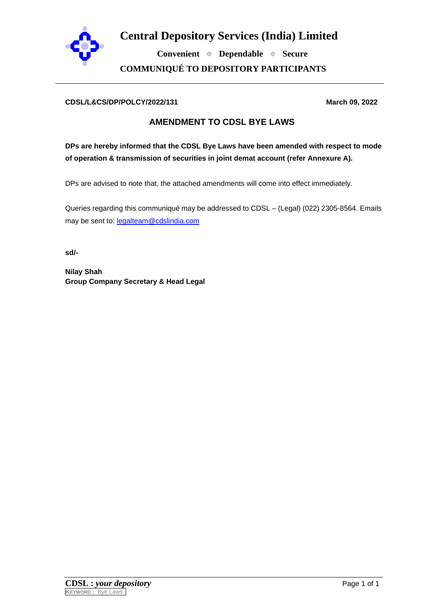

**Convenient Dependable Secure COMMUNIQUÉ TO DEPOSITORY PARTICIPANTS**

## **CDSL/L&CS/DP/POLCY/2022/131 March 09, 2022**

## **AMENDMENT TO CDSL BYE LAWS**

**DPs are hereby informed that the CDSL Bye Laws have been amended with respect to mode of operation & transmission of securities in joint demat account (refer Annexure A).** 

DPs are advised to note that, the attached amendments will come into effect immediately.

Queries regarding this communiqué may be addressed to CDSL – (Legal) (022) 2305-8564. Emails may be sent to: [legalteam@cdslindia.com](mailto:legalteam@cdslindia.com) 

**sd/-** 

**Nilay Shah Group Company Secretary & Head Legal**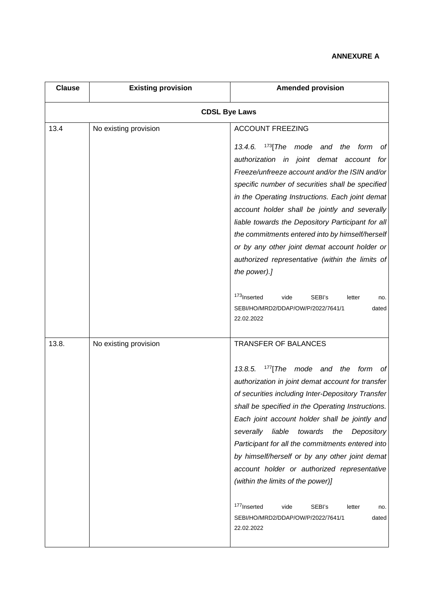## **ANNEXURE A**

| <b>Clause</b>        | <b>Existing provision</b> | <b>Amended provision</b>                                                                                                                                                                                                                                                                                                                                                                                                                                                                                                                                                                                                                                                    |  |  |
|----------------------|---------------------------|-----------------------------------------------------------------------------------------------------------------------------------------------------------------------------------------------------------------------------------------------------------------------------------------------------------------------------------------------------------------------------------------------------------------------------------------------------------------------------------------------------------------------------------------------------------------------------------------------------------------------------------------------------------------------------|--|--|
| <b>CDSL Bye Laws</b> |                           |                                                                                                                                                                                                                                                                                                                                                                                                                                                                                                                                                                                                                                                                             |  |  |
| 13.4                 | No existing provision     | <b>ACCOUNT FREEZING</b><br>$173$ [The mode and the<br>13.4.6.<br>form<br>Оt<br>authorization in joint demat account for<br>Freeze/unfreeze account and/or the ISIN and/or<br>specific number of securities shall be specified<br>in the Operating Instructions. Each joint demat<br>account holder shall be jointly and severally<br>liable towards the Depository Participant for all<br>the commitments entered into by himself/herself<br>or by any other joint demat account holder or<br>authorized representative (within the limits of<br>the power).]                                                                                                               |  |  |
|                      |                           | <sup>173</sup> Inserted<br>vide<br>SEBI's<br>letter<br>no.<br>SEBI/HO/MRD2/DDAP/OW/P/2022/7641/1<br>dated<br>22.02.2022                                                                                                                                                                                                                                                                                                                                                                                                                                                                                                                                                     |  |  |
| 13.8.                | No existing provision     | <b>TRANSFER OF BALANCES</b><br>13.8.5.<br>$177$ [The mode and the form<br>of l<br>authorization in joint demat account for transfer<br>of securities including Inter-Depository Transfer<br>shall be specified in the Operating Instructions.<br>Each joint account holder shall be jointly and<br>severally<br>liable<br>towards<br>Depository<br>the<br>Participant for all the commitments entered into<br>by himself/herself or by any other joint demat<br>account holder or authorized representative<br>(within the limits of the power)]<br><sup>177</sup> Inserted<br>SEBI's<br>vide<br>letter<br>no.<br>SEBI/HO/MRD2/DDAP/OW/P/2022/7641/1<br>dated<br>22.02.2022 |  |  |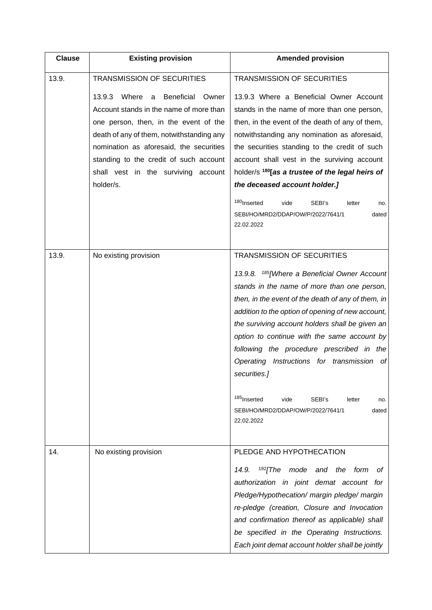| <b>Clause</b> | <b>Existing provision</b>                                                                                                                                                                                                                                                                                                    | <b>Amended provision</b>                                                                                                                                                                                                                                                                                                                                                                                                                                                                                                                                                             |
|---------------|------------------------------------------------------------------------------------------------------------------------------------------------------------------------------------------------------------------------------------------------------------------------------------------------------------------------------|--------------------------------------------------------------------------------------------------------------------------------------------------------------------------------------------------------------------------------------------------------------------------------------------------------------------------------------------------------------------------------------------------------------------------------------------------------------------------------------------------------------------------------------------------------------------------------------|
| 13.9.         | <b>TRANSMISSION OF SECURITIES</b>                                                                                                                                                                                                                                                                                            | <b>TRANSMISSION OF SECURITIES</b>                                                                                                                                                                                                                                                                                                                                                                                                                                                                                                                                                    |
|               | Where<br><b>Beneficial</b><br>13.9.3<br>Owner<br>a<br>Account stands in the name of more than<br>one person, then, in the event of the<br>death of any of them, notwithstanding any<br>nomination as aforesaid, the securities<br>standing to the credit of such account<br>shall vest in the surviving account<br>holder/s. | 13.9.3 Where a Beneficial Owner Account<br>stands in the name of more than one person,<br>then, in the event of the death of any of them,<br>notwithstanding any nomination as aforesaid,<br>the securities standing to the credit of such<br>account shall vest in the surviving account<br>holder/s <sup>180</sup> [as a trustee of the legal heirs of<br>the deceased account holder.]<br><sup>180</sup> Inserted<br>SEBI's<br>vide<br>letter<br>no.<br>SEBI/HO/MRD2/DDAP/OW/P/2022/7641/1<br>dated<br>22.02.2022                                                                 |
| 13.9.         | No existing provision                                                                                                                                                                                                                                                                                                        | <b>TRANSMISSION OF SECURITIES</b><br>13.9.8. <sup>185</sup> [Where a Beneficial Owner Account<br>stands in the name of more than one person,<br>then, in the event of the death of any of them, in<br>addition to the option of opening of new account,<br>the surviving account holders shall be given an<br>option to continue with the same account by<br>following the procedure prescribed in the<br>Operating Instructions for transmission of<br>securities.]<br>185 Inserted<br>vide<br>SEBI's<br>letter<br>no.<br>SEBI/HO/MRD2/DDAP/OW/P/2022/7641/1<br>dated<br>22.02.2022 |
| 14.           | No existing provision                                                                                                                                                                                                                                                                                                        | PLEDGE AND HYPOTHECATION<br>$192$ [The<br>mode<br>and the form<br>14.9.<br>оt<br>authorization in joint demat account for<br>Pledge/Hypothecation/ margin pledge/ margin<br>re-pledge (creation, Closure and Invocation<br>and confirmation thereof as applicable) shall<br>be specified in the Operating Instructions.<br>Each joint demat account holder shall be jointly                                                                                                                                                                                                          |